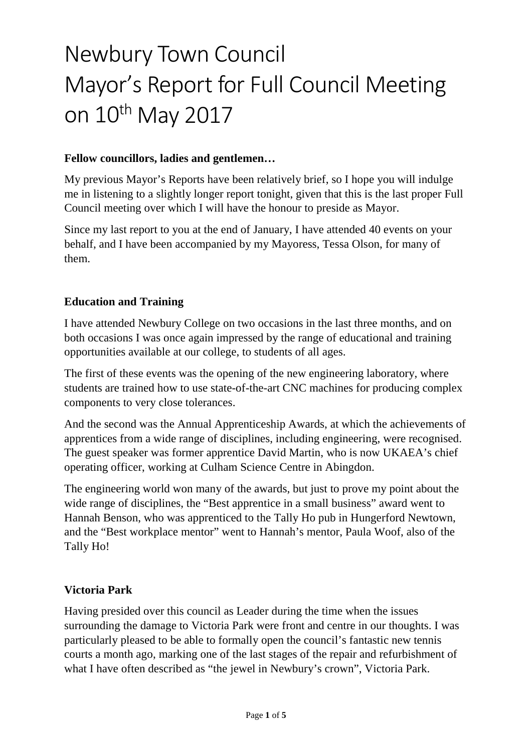# Newbury Town Council Mayor's Report for Full Council Meeting on 10<sup>th</sup> May 2017

## **Fellow councillors, ladies and gentlemen…**

My previous Mayor's Reports have been relatively brief, so I hope you will indulge me in listening to a slightly longer report tonight, given that this is the last proper Full Council meeting over which I will have the honour to preside as Mayor.

Since my last report to you at the end of January, I have attended 40 events on your behalf, and I have been accompanied by my Mayoress, Tessa Olson, for many of them.

## **Education and Training**

I have attended Newbury College on two occasions in the last three months, and on both occasions I was once again impressed by the range of educational and training opportunities available at our college, to students of all ages.

The first of these events was the opening of the new engineering laboratory, where students are trained how to use state-of-the-art CNC machines for producing complex components to very close tolerances.

And the second was the Annual Apprenticeship Awards, at which the achievements of apprentices from a wide range of disciplines, including engineering, were recognised. The guest speaker was former apprentice David Martin, who is now UKAEA's chief operating officer, working at Culham Science Centre in Abingdon.

The engineering world won many of the awards, but just to prove my point about the wide range of disciplines, the "Best apprentice in a small business" award went to Hannah Benson, who was apprenticed to the Tally Ho pub in Hungerford Newtown, and the "Best workplace mentor" went to Hannah's mentor, Paula Woof, also of the Tally Ho!

## **Victoria Park**

Having presided over this council as Leader during the time when the issues surrounding the damage to Victoria Park were front and centre in our thoughts. I was particularly pleased to be able to formally open the council's fantastic new tennis courts a month ago, marking one of the last stages of the repair and refurbishment of what I have often described as "the jewel in Newbury's crown", Victoria Park.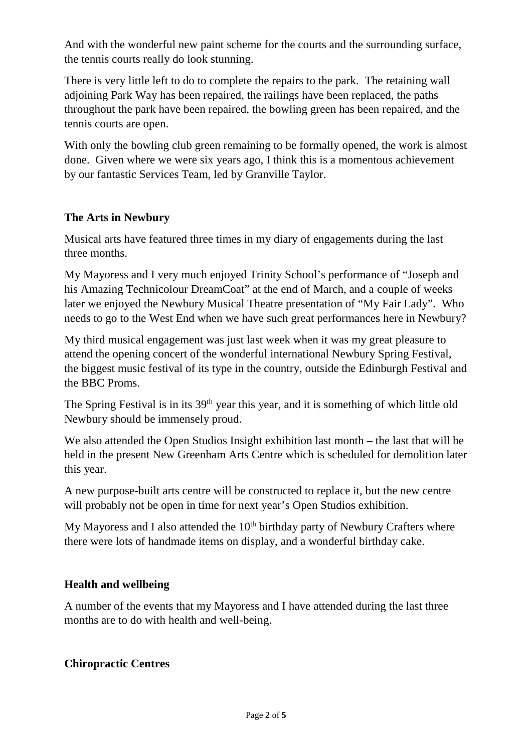And with the wonderful new paint scheme for the courts and the surrounding surface, the tennis courts really do look stunning.

There is very little left to do to complete the repairs to the park. The retaining wall adjoining Park Way has been repaired, the railings have been replaced, the paths throughout the park have been repaired, the bowling green has been repaired, and the tennis courts are open.

With only the bowling club green remaining to be formally opened, the work is almost done. Given where we were six years ago, I think this is a momentous achievement by our fantastic Services Team, led by Granville Taylor.

## **The Arts in Newbury**

Musical arts have featured three times in my diary of engagements during the last three months.

My Mayoress and I very much enjoyed Trinity School's performance of "Joseph and his Amazing Technicolour DreamCoat" at the end of March, and a couple of weeks later we enjoyed the Newbury Musical Theatre presentation of "My Fair Lady". Who needs to go to the West End when we have such great performances here in Newbury?

My third musical engagement was just last week when it was my great pleasure to attend the opening concert of the wonderful international Newbury Spring Festival, the biggest music festival of its type in the country, outside the Edinburgh Festival and the BBC Proms.

The Spring Festival is in its 39<sup>th</sup> year this year, and it is something of which little old Newbury should be immensely proud.

We also attended the Open Studios Insight exhibition last month – the last that will be held in the present New Greenham Arts Centre which is scheduled for demolition later this year.

A new purpose-built arts centre will be constructed to replace it, but the new centre will probably not be open in time for next year's Open Studios exhibition.

My Mayoress and I also attended the  $10<sup>th</sup>$  birthday party of Newbury Crafters where there were lots of handmade items on display, and a wonderful birthday cake.

## **Health and wellbeing**

A number of the events that my Mayoress and I have attended during the last three months are to do with health and well-being.

## **Chiropractic Centres**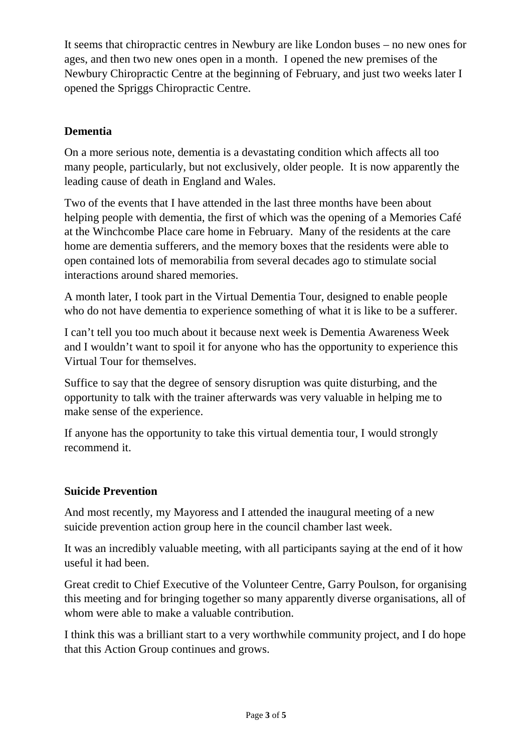It seems that chiropractic centres in Newbury are like London buses – no new ones for ages, and then two new ones open in a month. I opened the new premises of the Newbury Chiropractic Centre at the beginning of February, and just two weeks later I opened the Spriggs Chiropractic Centre.

## **Dementia**

On a more serious note, dementia is a devastating condition which affects all too many people, particularly, but not exclusively, older people. It is now apparently the leading cause of death in England and Wales.

Two of the events that I have attended in the last three months have been about helping people with dementia, the first of which was the opening of a Memories Café at the Winchcombe Place care home in February. Many of the residents at the care home are dementia sufferers, and the memory boxes that the residents were able to open contained lots of memorabilia from several decades ago to stimulate social interactions around shared memories.

A month later, I took part in the Virtual Dementia Tour, designed to enable people who do not have dementia to experience something of what it is like to be a sufferer.

I can't tell you too much about it because next week is Dementia Awareness Week and I wouldn't want to spoil it for anyone who has the opportunity to experience this Virtual Tour for themselves.

Suffice to say that the degree of sensory disruption was quite disturbing, and the opportunity to talk with the trainer afterwards was very valuable in helping me to make sense of the experience.

If anyone has the opportunity to take this virtual dementia tour, I would strongly recommend it.

## **Suicide Prevention**

And most recently, my Mayoress and I attended the inaugural meeting of a new suicide prevention action group here in the council chamber last week.

It was an incredibly valuable meeting, with all participants saying at the end of it how useful it had been.

Great credit to Chief Executive of the Volunteer Centre, Garry Poulson, for organising this meeting and for bringing together so many apparently diverse organisations, all of whom were able to make a valuable contribution.

I think this was a brilliant start to a very worthwhile community project, and I do hope that this Action Group continues and grows.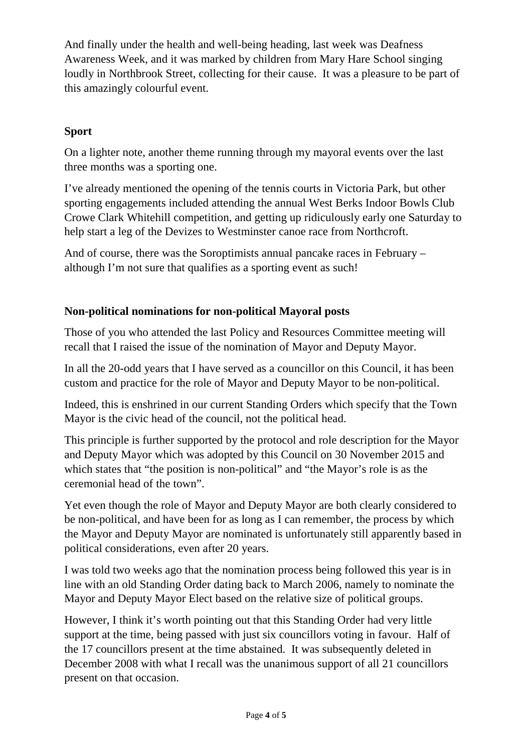And finally under the health and well-being heading, last week was Deafness Awareness Week, and it was marked by children from Mary Hare School singing loudly in Northbrook Street, collecting for their cause. It was a pleasure to be part of this amazingly colourful event.

## **Sport**

On a lighter note, another theme running through my mayoral events over the last three months was a sporting one.

I've already mentioned the opening of the tennis courts in Victoria Park, but other sporting engagements included attending the annual West Berks Indoor Bowls Club Crowe Clark Whitehill competition, and getting up ridiculously early one Saturday to help start a leg of the Devizes to Westminster canoe race from Northcroft.

And of course, there was the Soroptimists annual pancake races in February – although I'm not sure that qualifies as a sporting event as such!

## **Non-political nominations for non-political Mayoral posts**

Those of you who attended the last Policy and Resources Committee meeting will recall that I raised the issue of the nomination of Mayor and Deputy Mayor.

In all the 20-odd years that I have served as a councillor on this Council, it has been custom and practice for the role of Mayor and Deputy Mayor to be non-political.

Indeed, this is enshrined in our current Standing Orders which specify that the Town Mayor is the civic head of the council, not the political head.

This principle is further supported by the protocol and role description for the Mayor and Deputy Mayor which was adopted by this Council on 30 November 2015 and which states that "the position is non-political" and "the Mayor's role is as the ceremonial head of the town".

Yet even though the role of Mayor and Deputy Mayor are both clearly considered to be non-political, and have been for as long as I can remember, the process by which the Mayor and Deputy Mayor are nominated is unfortunately still apparently based in political considerations, even after 20 years.

I was told two weeks ago that the nomination process being followed this year is in line with an old Standing Order dating back to March 2006, namely to nominate the Mayor and Deputy Mayor Elect based on the relative size of political groups.

However, I think it's worth pointing out that this Standing Order had very little support at the time, being passed with just six councillors voting in favour. Half of the 17 councillors present at the time abstained. It was subsequently deleted in December 2008 with what I recall was the unanimous support of all 21 councillors present on that occasion.